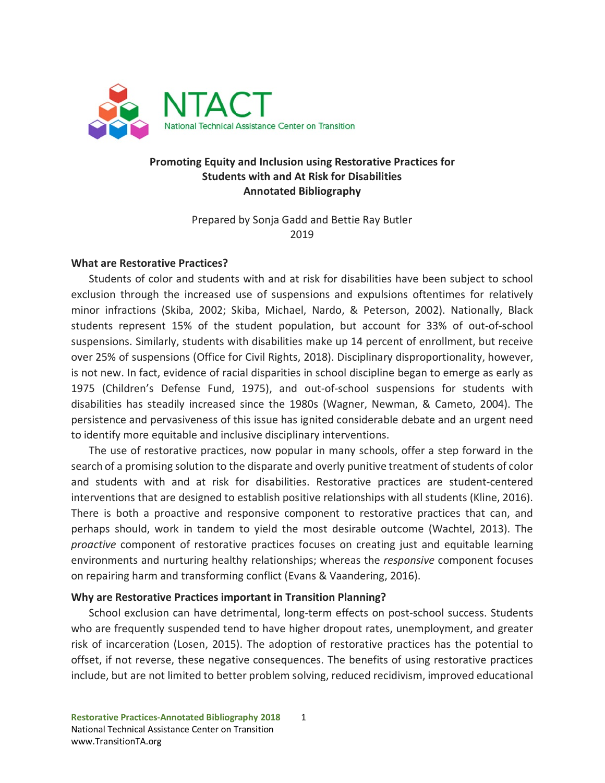

#### **Promoting Equity and Inclusion using Restorative Practices for Students with and At Risk for Disabilities Annotated Bibliography**

Prepared by Sonja Gadd and Bettie Ray Butler 2019

#### **What are Restorative Practices?**

Students of color and students with and at risk for disabilities have been subject to school exclusion through the increased use of suspensions and expulsions oftentimes for relatively minor infractions (Skiba, 2002; Skiba, Michael, Nardo, & Peterson, 2002). Nationally, Black students represent 15% of the student population, but account for 33% of out-of-school suspensions. Similarly, students with disabilities make up 14 percent of enrollment, but receive over 25% of suspensions (Office for Civil Rights, 2018). Disciplinary disproportionality, however, is not new. In fact, evidence of racial disparities in school discipline began to emerge as early as 1975 (Children's Defense Fund, 1975), and out-of-school suspensions for students with disabilities has steadily increased since the 1980s (Wagner, Newman, & Cameto, 2004). The persistence and pervasiveness of this issue has ignited considerable debate and an urgent need to identify more equitable and inclusive disciplinary interventions.

The use of restorative practices, now popular in many schools, offer a step forward in the search of a promising solution to the disparate and overly punitive treatment of students of color and students with and at risk for disabilities. Restorative practices are student-centered interventions that are designed to establish positive relationships with all students (Kline, 2016). There is both a proactive and responsive component to restorative practices that can, and perhaps should, work in tandem to yield the most desirable outcome (Wachtel, 2013). The *proactive* component of restorative practices focuses on creating just and equitable learning environments and nurturing healthy relationships; whereas the *responsive* component focuses on repairing harm and transforming conflict (Evans & Vaandering, 2016).

#### **Why are Restorative Practices important in Transition Planning?**

School exclusion can have detrimental, long-term effects on post-school success. Students who are frequently suspended tend to have higher dropout rates, unemployment, and greater risk of incarceration (Losen, 2015). The adoption of restorative practices has the potential to offset, if not reverse, these negative consequences. The benefits of using restorative practices include, but are not limited to better problem solving, reduced recidivism, improved educational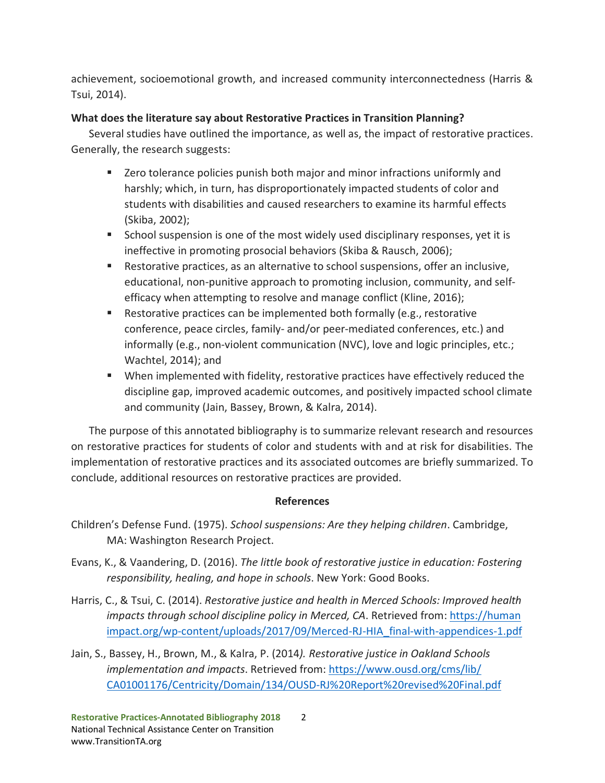achievement, socioemotional growth, and increased community interconnectedness (Harris & Tsui, 2014).

#### **What does the literature say about Restorative Practices in Transition Planning?**

Several studies have outlined the importance, as well as, the impact of restorative practices. Generally, the research suggests:

- **EXECT** Zero tolerance policies punish both major and minor infractions uniformly and harshly; which, in turn, has disproportionately impacted students of color and students with disabilities and caused researchers to examine its harmful effects (Skiba, 2002);
- School suspension is one of the most widely used disciplinary responses, yet it is ineffective in promoting prosocial behaviors (Skiba & Rausch, 2006);
- Restorative practices, as an alternative to school suspensions, offer an inclusive, educational, non-punitive approach to promoting inclusion, community, and selfefficacy when attempting to resolve and manage conflict (Kline, 2016);
- **EXECT** Restorative practices can be implemented both formally (e.g., restorative conference, peace circles, family- and/or peer-mediated conferences, etc.) and informally (e.g., non-violent communication (NVC), love and logic principles, etc.; Wachtel, 2014); and
- When implemented with fidelity, restorative practices have effectively reduced the discipline gap, improved academic outcomes, and positively impacted school climate and community (Jain, Bassey, Brown, & Kalra, 2014).

The purpose of this annotated bibliography is to summarize relevant research and resources on restorative practices for students of color and students with and at risk for disabilities. The implementation of restorative practices and its associated outcomes are briefly summarized. To conclude, additional resources on restorative practices are provided.

#### **References**

- Children's Defense Fund. (1975). *School suspensions: Are they helping children*. Cambridge, MA: Washington Research Project.
- Evans, K., & Vaandering, D. (2016). *The little book of restorative justice in education: Fostering responsibility, healing, and hope in schools*. New York: Good Books.
- Harris, C., & Tsui, C. (2014). *Restorative justice and health in Merced Schools: Improved health*  impacts through school discipline policy in Merced, CA. Retrieved from: https://human impact.org/wp-content/uploads/2017/09/Merced-RJ-HIA\_final-with-appendices-1.pdf
- Jain, S., Bassey, H., Brown, M., & Kalra, P. (2014*). Restorative justice in Oakland Schools implementation and impacts*. Retrieved from: [https://www.ousd.org/cms/lib/](https://www.ousd.org/cms/lib/%20CA01001176/Centricity/Domain/134/OUSD-RJ%20Report%20revised%20Final.pdf)  [CA01001176/Centricity/Domain/134/OUSD-RJ%20Report%20revised%20Final.pdf](https://www.ousd.org/cms/lib/%20CA01001176/Centricity/Domain/134/OUSD-RJ%20Report%20revised%20Final.pdf)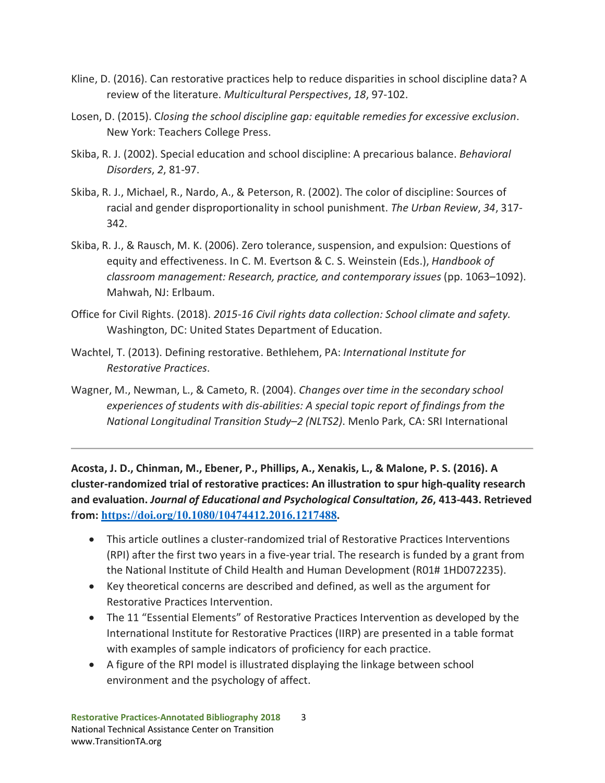- Kline, D. (2016). Can restorative practices help to reduce disparities in school discipline data? A review of the literature. *Multicultural Perspectives*, *18*, 97-102.
- Losen, D. (2015). C*losing the school discipline gap: equitable remedies for excessive exclusion*. New York: Teachers College Press.
- Skiba, R. J. (2002). Special education and school discipline: A precarious balance. *Behavioral Disorders*, *2*, 81-97.
- Skiba, R. J., Michael, R., Nardo, A., & Peterson, R. (2002). The color of discipline: Sources of racial and gender disproportionality in school punishment. *The Urban Review*, *34*, 317- 342.
- Skiba, R. J., & Rausch, M. K. (2006). Zero tolerance, suspension, and expulsion: Questions of equity and effectiveness. In C. M. Evertson & C. S. Weinstein (Eds.), *Handbook of classroom management: Research, practice, and contemporary issues* (pp. 1063–1092). Mahwah, NJ: Erlbaum.
- Office for Civil Rights. (2018). *2015-16 Civil rights data collection: School climate and safety.*  Washington, DC: United States Department of Education.
- Wachtel, T. (2013). Defining restorative. Bethlehem, PA: *International Institute for Restorative Practices*.
- Wagner, M., Newman, L., & Cameto, R. (2004). *Changes over time in the secondary school experiences of students with dis-abilities: A special topic report of findings from the National Longitudinal Transition Study–2 (NLTS2)*. Menlo Park, CA: SRI International

**Acosta, J. D., Chinman, M., Ebener, P., Phillips, A., Xenakis, L., & Malone, P. S. (2016). A cluster-randomized trial of restorative practices: An illustration to spur high-quality research and evaluation.** *Journal of Educational and Psychological Consultation***,** *26***, 413-443. Retrieved from: [https://doi.org/10.1080/10474412.2016.1217488.](https://doi.org/10.1080/10474412.2016.1217488)** 

- This article outlines a cluster-randomized trial of Restorative Practices Interventions (RPI) after the first two years in a five-year trial. The research is funded by a grant from the National Institute of Child Health and Human Development (R01# 1HD072235).
- Key theoretical concerns are described and defined, as well as the argument for Restorative Practices Intervention.
- The 11 "Essential Elements" of Restorative Practices Intervention as developed by the International Institute for Restorative Practices (IIRP) are presented in a table format with examples of sample indicators of proficiency for each practice.
- A figure of the RPI model is illustrated displaying the linkage between school environment and the psychology of affect.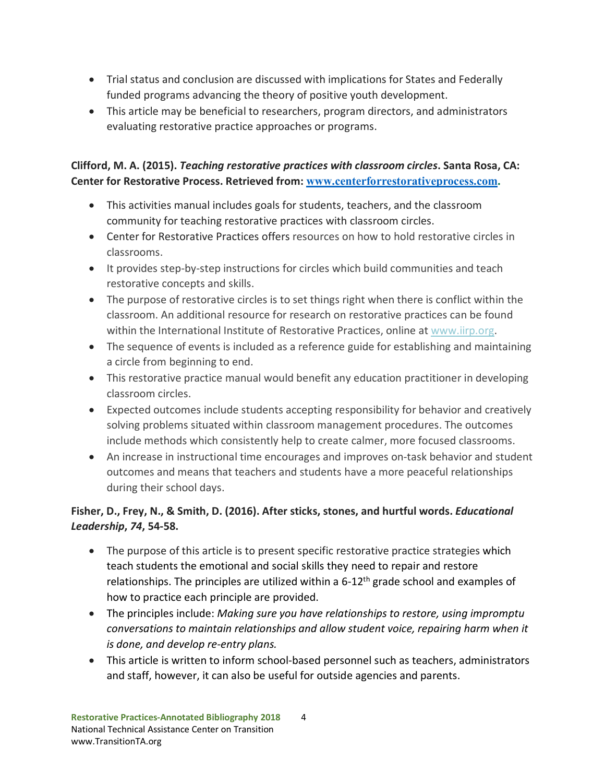- Trial status and conclusion are discussed with implications for States and Federally funded programs advancing the theory of positive youth development.
- This article may be beneficial to researchers, program directors, and administrators evaluating restorative practice approaches or programs.

## **Clifford, M. A. (2015).** *Teaching restorative practices with classroom circles***. Santa Rosa, CA: Center for Restorative Process. Retrieved from: [www.centerforrestorativeprocess.com.](http://www.centerforrestorativeprocess.com/)**

- This activities manual includes goals for students, teachers, and the classroom community for teaching restorative practices with classroom circles.
- Center for Restorative Practices offers resources on how to hold restorative circles in classrooms.
- It provides step-by-step instructions for circles which build communities and teach restorative concepts and skills.
- The purpose of restorative circles is to set things right when there is conflict within the classroom. An additional resource for research on restorative practices can be found within the International Institute of Restorative Practices, online at [www.iirp.org.](http://www.iirp.org/)
- The sequence of events is included as a reference guide for establishing and maintaining a circle from beginning to end.
- This restorative practice manual would benefit any education practitioner in developing classroom circles.
- Expected outcomes include students accepting responsibility for behavior and creatively solving problems situated within classroom management procedures. The outcomes include methods which consistently help to create calmer, more focused classrooms.
- An increase in instructional time encourages and improves on-task behavior and student outcomes and means that teachers and students have a more peaceful relationships during their school days.

# **Fisher, D., Frey, N., & Smith, D. (2016). After sticks, stones, and hurtful words.** *Educational Leadership***,** *74***, 54-58.**

- The purpose of this article is to present specific restorative practice strategies which teach students the emotional and social skills they need to repair and restore relationships. The principles are utilized within a  $6-12<sup>th</sup>$  grade school and examples of how to practice each principle are provided.
- The principles include: *Making sure you have relationships to restore, using impromptu conversations to maintain relationships and allow student voice, repairing harm when it is done, and develop re-entry plans.*
- This article is written to inform school-based personnel such as teachers, administrators and staff, however, it can also be useful for outside agencies and parents.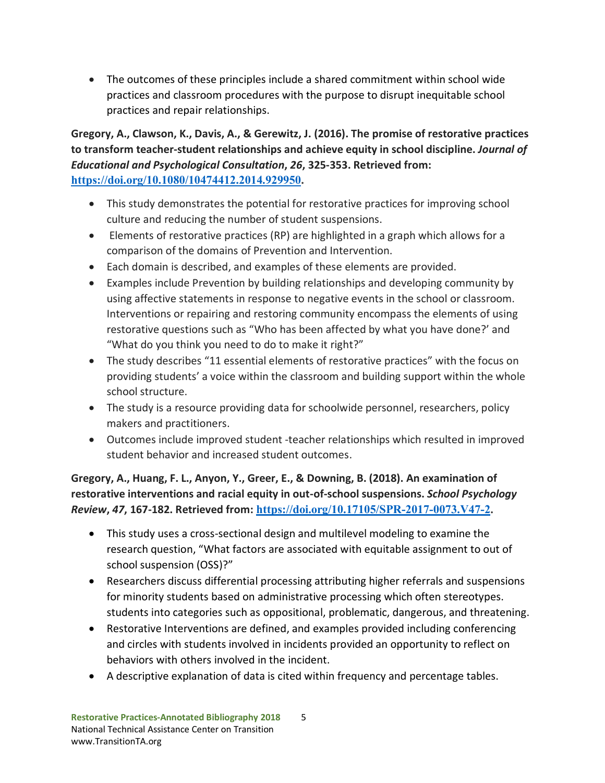• The outcomes of these principles include a shared commitment within school wide practices and classroom procedures with the purpose to disrupt inequitable school practices and repair relationships.

**Gregory, A., Clawson, K., Davis, A., & Gerewitz, J. (2016). The promise of restorative practices to transform teacher-student relationships and achieve equity in school discipline.** *Journal of Educational and Psychological Consultation***,** *26***, 325-353. Retrieved from: [https://doi.org/10.1080/10474412.2014.929950.](https://doi.org/10.1080/10474412.2014.929950)** 

- This study demonstrates the potential for restorative practices for improving school culture and reducing the number of student suspensions.
- Elements of restorative practices (RP) are highlighted in a graph which allows for a comparison of the domains of Prevention and Intervention.
- Each domain is described, and examples of these elements are provided.
- Examples include Prevention by building relationships and developing community by using affective statements in response to negative events in the school or classroom. Interventions or repairing and restoring community encompass the elements of using restorative questions such as "Who has been affected by what you have done?' and "What do you think you need to do to make it right?"
- The study describes "11 essential elements of restorative practices" with the focus on providing students' a voice within the classroom and building support within the whole school structure.
- The study is a resource providing data for schoolwide personnel, researchers, policy makers and practitioners.
- Outcomes include improved student -teacher relationships which resulted in improved student behavior and increased student outcomes.

**Gregory, A., Huang, F. L., Anyon, Y., Greer, E., & Downing, B. (2018). An examination of restorative interventions and racial equity in out-of-school suspensions.** *School Psychology Review***,** *47***, 167-182. Retrieved from: [https://doi.org/10.17105/SPR-2017-0073.V47-2.](https://doi.org/10.17105/SPR-2017-0073.V47-2)** 

- This study uses a cross-sectional design and multilevel modeling to examine the research question, "What factors are associated with equitable assignment to out of school suspension (OSS)?"
- Researchers discuss differential processing attributing higher referrals and suspensions for minority students based on administrative processing which often stereotypes. students into categories such as oppositional, problematic, dangerous, and threatening.
- Restorative Interventions are defined, and examples provided including conferencing and circles with students involved in incidents provided an opportunity to reflect on behaviors with others involved in the incident.
- A descriptive explanation of data is cited within frequency and percentage tables.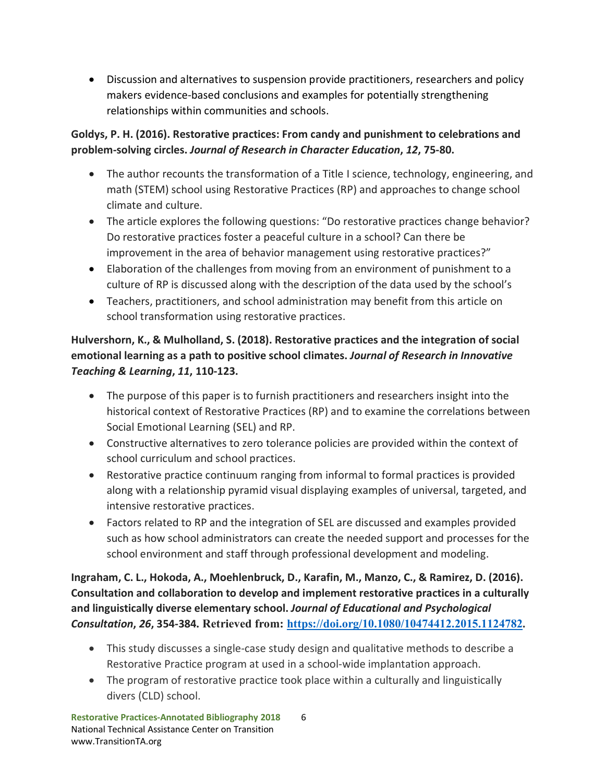• Discussion and alternatives to suspension provide practitioners, researchers and policy makers evidence-based conclusions and examples for potentially strengthening relationships within communities and schools.

## **Goldys, P. H. (2016). Restorative practices: From candy and punishment to celebrations and problem-solving circles.** *Journal of Research in Character Education***,** *12***, 75-80.**

- The author recounts the transformation of a Title I science, technology, engineering, and math (STEM) school using Restorative Practices (RP) and approaches to change school climate and culture.
- The article explores the following questions: "Do restorative practices change behavior? Do restorative practices foster a peaceful culture in a school? Can there be improvement in the area of behavior management using restorative practices?"
- Elaboration of the challenges from moving from an environment of punishment to a culture of RP is discussed along with the description of the data used by the school's
- Teachers, practitioners, and school administration may benefit from this article on school transformation using restorative practices.

# **Hulvershorn, K., & Mulholland, S. (2018). Restorative practices and the integration of social emotional learning as a path to positive school climates.** *Journal of Research in Innovative Teaching & Learning***,** *11***, 110-123.**

- The purpose of this paper is to furnish practitioners and researchers insight into the historical context of Restorative Practices (RP) and to examine the correlations between Social Emotional Learning (SEL) and RP.
- Constructive alternatives to zero tolerance policies are provided within the context of school curriculum and school practices.
- Restorative practice continuum ranging from informal to formal practices is provided along with a relationship pyramid visual displaying examples of universal, targeted, and intensive restorative practices.
- Factors related to RP and the integration of SEL are discussed and examples provided such as how school administrators can create the needed support and processes for the school environment and staff through professional development and modeling.

**Ingraham, C. L., Hokoda, A., Moehlenbruck, D., Karafin, M., Manzo, C., & Ramirez, D. (2016). Consultation and collaboration to develop and implement restorative practices in a culturally and linguistically diverse elementary school.** *Journal of Educational and Psychological Consultation***,** *26***, 354-384. Retrieved from: [https://doi.org/10.1080/10474412.2015.1124782.](https://doi.org/10.1080/10474412.2015.1124782)** 

- This study discusses a single-case study design and qualitative methods to describe a Restorative Practice program at used in a school-wide implantation approach.
- The program of restorative practice took place within a culturally and linguistically divers (CLD) school.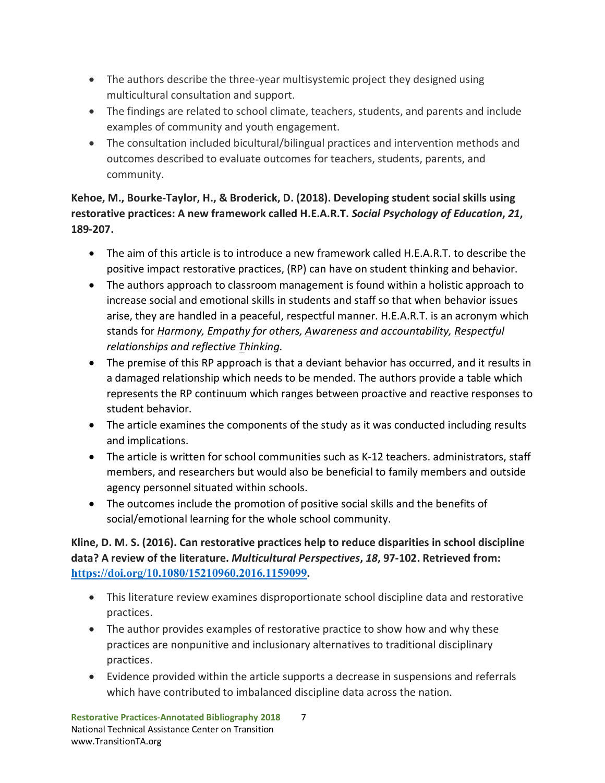- The authors describe the three-year multisystemic project they designed using multicultural consultation and support.
- The findings are related to school climate, teachers, students, and parents and include examples of community and youth engagement.
- The consultation included bicultural/bilingual practices and intervention methods and outcomes described to evaluate outcomes for teachers, students, parents, and community.

# **Kehoe, M., Bourke-Taylor, H., & Broderick, D. (2018). Developing student social skills using restorative practices: A new framework called H.E.A.R.T.** *Social Psychology of Education***,** *21***, 189-207.**

- The aim of this article is to introduce a new framework called H.E.A.R.T. to describe the positive impact restorative practices, (RP) can have on student thinking and behavior.
- The authors approach to classroom management is found within a holistic approach to increase social and emotional skills in students and staff so that when behavior issues arise, they are handled in a peaceful, respectful manner. H.E.A.R.T. is an acronym which stands for *Harmony, Empathy for others, Awareness and accountability, Respectful relationships and reflective Thinking.*
- The premise of this RP approach is that a deviant behavior has occurred, and it results in a damaged relationship which needs to be mended. The authors provide a table which represents the RP continuum which ranges between proactive and reactive responses to student behavior.
- The article examines the components of the study as it was conducted including results and implications.
- The article is written for school communities such as K-12 teachers. administrators, staff members, and researchers but would also be beneficial to family members and outside agency personnel situated within schools.
- The outcomes include the promotion of positive social skills and the benefits of social/emotional learning for the whole school community.

## **Kline, D. M. S. (2016). Can restorative practices help to reduce disparities in school discipline data? A review of the literature.** *Multicultural Perspectives***,** *18***, 97-102. Retrieved from: [https://doi.org/10.1080/15210960.2016.1159099.](https://doi.org/10.1080/15210960.2016.1159099)**

- This literature review examines disproportionate school discipline data and restorative practices.
- The author provides examples of restorative practice to show how and why these practices are nonpunitive and inclusionary alternatives to traditional disciplinary practices.
- Evidence provided within the article supports a decrease in suspensions and referrals which have contributed to imbalanced discipline data across the nation.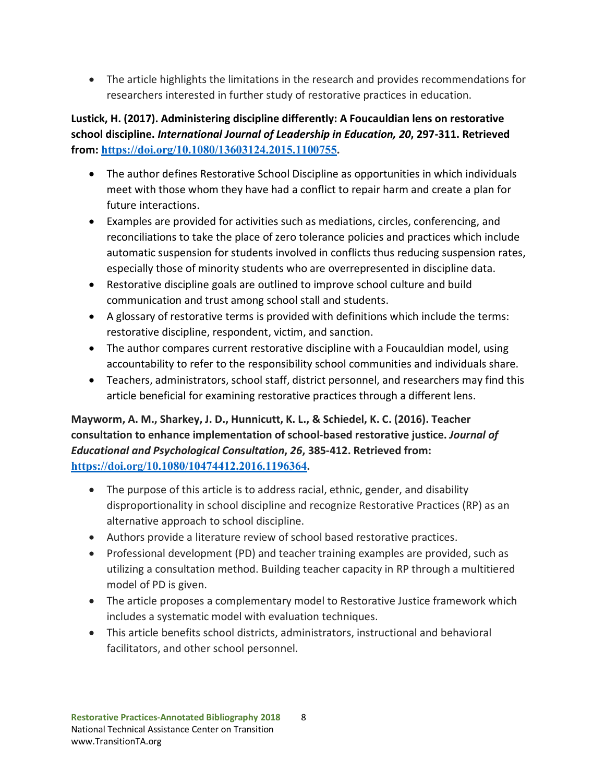• The article highlights the limitations in the research and provides recommendations for researchers interested in further study of restorative practices in education.

## **Lustick, H. (2017). Administering discipline differently: A Foucauldian lens on restorative school discipline.** *International Journal of Leadership in Education, 20***, 297-311. Retrieved from: [https://doi.org/10.1080/13603124.2015.1100755.](https://doi.org/10.1080/13603124.2015.1100755)**

- The author defines Restorative School Discipline as opportunities in which individuals meet with those whom they have had a conflict to repair harm and create a plan for future interactions.
- Examples are provided for activities such as mediations, circles, conferencing, and reconciliations to take the place of zero tolerance policies and practices which include automatic suspension for students involved in conflicts thus reducing suspension rates, especially those of minority students who are overrepresented in discipline data.
- Restorative discipline goals are outlined to improve school culture and build communication and trust among school stall and students.
- A glossary of restorative terms is provided with definitions which include the terms: restorative discipline, respondent, victim, and sanction.
- The author compares current restorative discipline with a Foucauldian model, using accountability to refer to the responsibility school communities and individuals share.
- Teachers, administrators, school staff, district personnel, and researchers may find this article beneficial for examining restorative practices through a different lens.

## **Mayworm, A. M., Sharkey, J. D., Hunnicutt, K. L., & Schiedel, K. C. (2016). Teacher consultation to enhance implementation of school-based restorative justice.** *Journal of Educational and Psychological Consultation***,** *26***, 385-412. Retrieved from: [https://doi.org/10.1080/10474412.2016.1196364.](https://doi.org/10.1080/10474412.2016.1196364)**

- The purpose of this article is to address racial, ethnic, gender, and disability disproportionality in school discipline and recognize Restorative Practices (RP) as an alternative approach to school discipline.
- Authors provide a literature review of school based restorative practices.
- Professional development (PD) and teacher training examples are provided, such as utilizing a consultation method. Building teacher capacity in RP through a multitiered model of PD is given.
- The article proposes a complementary model to Restorative Justice framework which includes a systematic model with evaluation techniques.
- This article benefits school districts, administrators, instructional and behavioral facilitators, and other school personnel.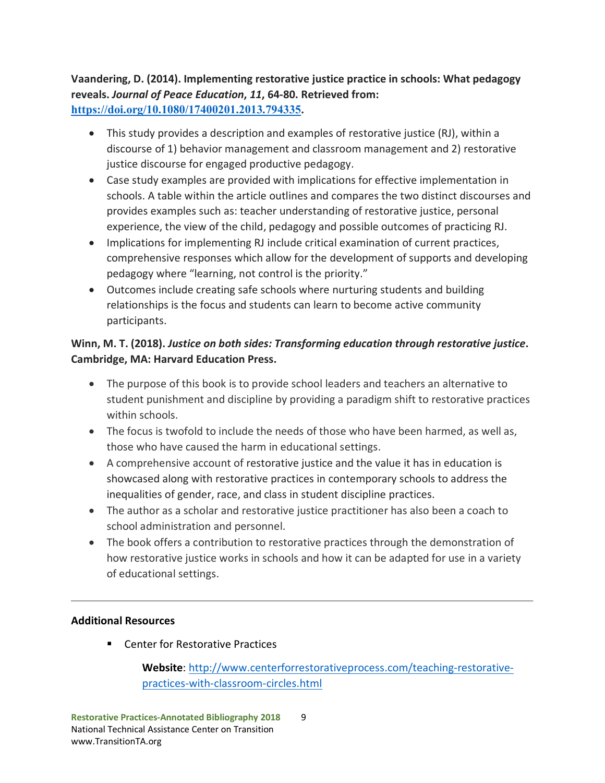### **Vaandering, D. (2014). Implementing restorative justice practice in schools: What pedagogy reveals.** *Journal of Peace Education***,** *11***, 64-80. Retrieved from: [https://doi.org/10.1080/17400201.2013.794335.](https://doi.org/10.1080/17400201.2013.794335)**

- This study provides a description and examples of restorative justice (RJ), within a discourse of 1) behavior management and classroom management and 2) restorative justice discourse for engaged productive pedagogy.
- Case study examples are provided with implications for effective implementation in schools. A table within the article outlines and compares the two distinct discourses and provides examples such as: teacher understanding of restorative justice, personal experience, the view of the child, pedagogy and possible outcomes of practicing RJ.
- Implications for implementing RJ include critical examination of current practices, comprehensive responses which allow for the development of supports and developing pedagogy where "learning, not control is the priority."
- Outcomes include creating safe schools where nurturing students and building relationships is the focus and students can learn to become active community participants.

## **Winn, M. T. (2018).** *Justice on both sides: Transforming education through restorative justice***. Cambridge, MA: Harvard Education Press.**

- The purpose of this book is to provide school leaders and teachers an alternative to student punishment and discipline by providing a paradigm shift to restorative practices within schools.
- The focus is twofold to include the needs of those who have been harmed, as well as, those who have caused the harm in educational settings.
- A comprehensive account of restorative justice and the value it has in education is showcased along with restorative practices in contemporary schools to address the inequalities of gender, race, and class in student discipline practices.
- The author as a scholar and restorative justice practitioner has also been a coach to school administration and personnel.
- The book offers a contribution to restorative practices through the demonstration of how restorative justice works in schools and how it can be adapted for use in a variety of educational settings.

#### **Additional Resources**

■ Center for Restorative Practices

**Website**: [http://www.centerforrestorativeprocess.com/teaching-restorative](http://www.centerforrestorativeprocess.com/teaching-restorative-practices-with-classroom-circles.html)[practices-with-classroom-circles.html](http://www.centerforrestorativeprocess.com/teaching-restorative-practices-with-classroom-circles.html)